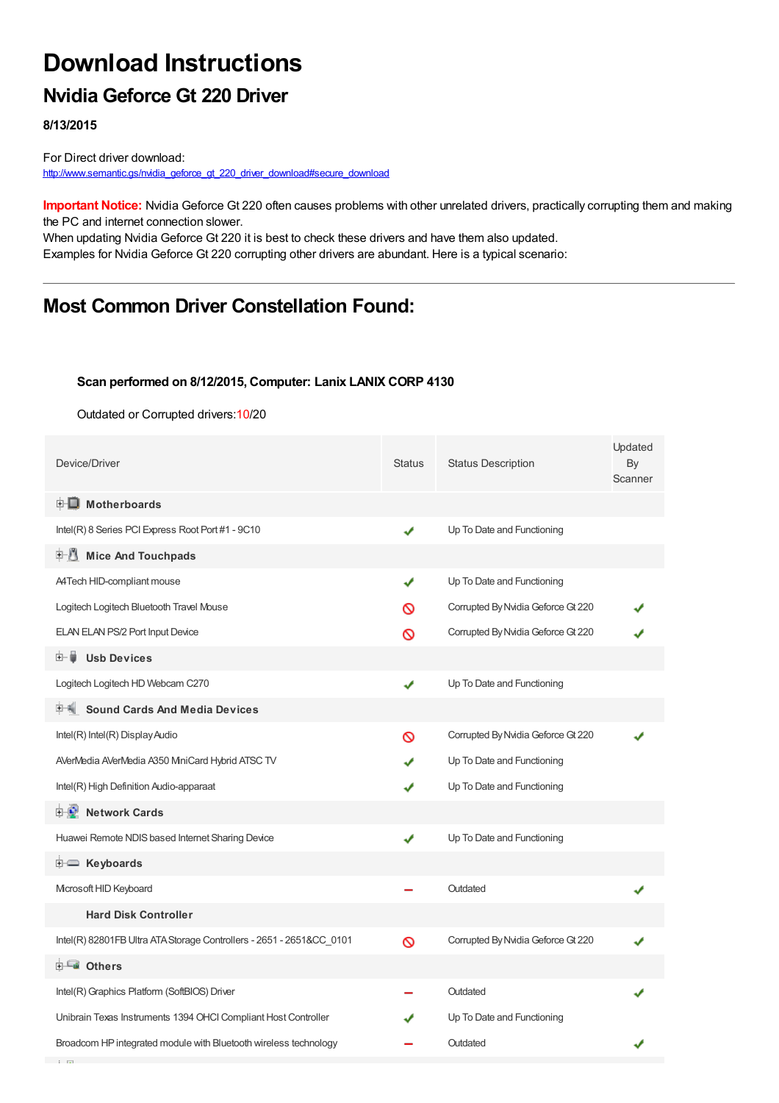# **Download Instructions**

### **Nvidia Geforce Gt 220 Driver**

**8/13/2015**

For Direct driver download: [http://www.semantic.gs/nvidia\\_geforce\\_gt\\_220\\_driver\\_download#secure\\_download](http://www.semantic.gs/nvidia_geforce_gt_220_driver_download#secure_download)

**Important Notice:** Nvidia Geforce Gt 220 often causes problems with other unrelated drivers, practically corrupting them and making the PC and internet connection slower.

When updating Nvidia Geforce Gt 220 it is best to check these drivers and have them also updated. Examples for Nvidia Geforce Gt 220 corrupting other drivers are abundant. Here is a typical scenario:

# **Most Common Driver Constellation Found:**

#### **Scan performed on 8/12/2015, Computer: Lanix LANIX CORP 4130**

Outdated or Corrupted drivers:10/20

| Device/Driver                                                        | <b>Status</b> | <b>Status Description</b>          | Updated<br>By<br>Scanner |
|----------------------------------------------------------------------|---------------|------------------------------------|--------------------------|
| <b>E</b> Motherboards                                                |               |                                    |                          |
| Intel(R) 8 Series PCI Express Root Port #1 - 9C10                    | ✔             | Up To Date and Functioning         |                          |
| 中心 Mice And Touchpads                                                |               |                                    |                          |
| A4Tech HID-compliant mouse                                           | ✔             | Up To Date and Functioning         |                          |
| Logitech Logitech Bluetooth Travel Mouse                             | ര             | Corrupted By Nvidia Geforce Gt 220 |                          |
| ELAN ELAN PS/2 Port Input Device                                     | ∾             | Corrupted By Nvidia Geforce Gt 220 |                          |
| <b>Usb Devices</b><br>⊞… ■                                           |               |                                    |                          |
| Logitech Logitech HD Webcam C270                                     | ✔             | Up To Date and Functioning         |                          |
| <b>Sound Cards And Media Devices</b>                                 |               |                                    |                          |
| Intel(R) Intel(R) Display Audio                                      | ∾             | Corrupted By Nvidia Geforce Gt 220 |                          |
| AVerMedia AVerMedia A350 MiniCard Hybrid ATSC TV                     |               | Up To Date and Functioning         |                          |
| Intel(R) High Definition Audio-apparaat                              |               | Up To Date and Functioning         |                          |
| 中心 Network Cards                                                     |               |                                    |                          |
| Huawei Remote NDIS based Internet Sharing Device                     | ✔             | Up To Date and Functioning         |                          |
| <b><u>ं</u> Keyboards</b>                                            |               |                                    |                          |
| Microsoft HID Keyboard                                               |               | Outdated                           |                          |
| <b>Hard Disk Controller</b>                                          |               |                                    |                          |
| Intel(R) 82801FB Ultra ATA Storage Controllers - 2651 - 2651&CC_0101 | Ø             | Corrupted By Nvidia Geforce Gt 220 |                          |
| <b>E</b> Others                                                      |               |                                    |                          |
| Intel(R) Graphics Platform (SoftBIOS) Driver                         |               | Outdated                           |                          |
| Unibrain Texas Instruments 1394 OHCI Compliant Host Controller       |               | Up To Date and Functioning         |                          |
| Broadcom HP integrated module with Bluetooth wireless technology     |               | Outdated                           |                          |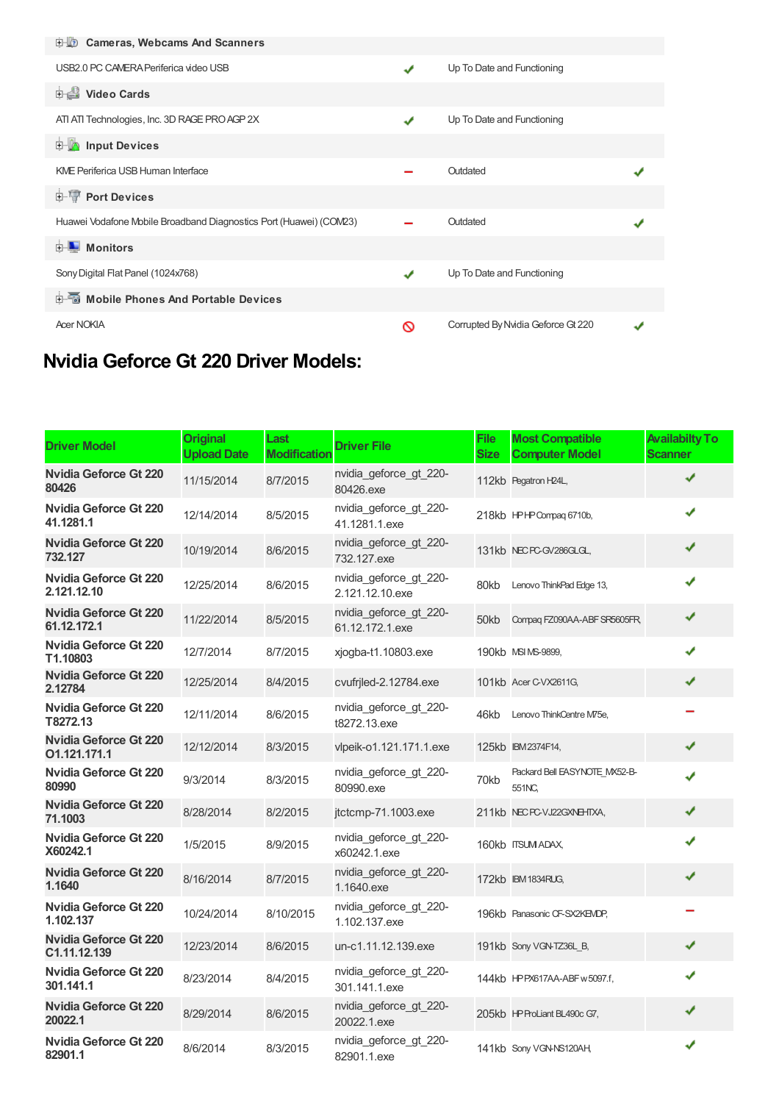| <b>E-LO</b> Cameras, Webcams And Scanners                          |   |                                    |  |
|--------------------------------------------------------------------|---|------------------------------------|--|
| USB2.0 PC CAMERA Periferica video USB                              | ✔ | Up To Date and Functioning         |  |
| Video Cards                                                        |   |                                    |  |
| ATI ATI Technologies, Inc. 3D RAGE PRO AGP 2X                      | ✔ | Up To Date and Functioning         |  |
| <b>E</b> Input Devices                                             |   |                                    |  |
| <b>KME Periferica USB Human Interface</b>                          |   | Outdated                           |  |
| <b>E-TP Port Devices</b>                                           |   |                                    |  |
| Huawei Vodafone Mobile Broadband Diagnostics Port (Huawei) (COM23) |   | Outdated                           |  |
| <b>D</b> Monitors                                                  |   |                                    |  |
| Sony Digital Flat Panel (1024x768)                                 | ✔ | Up To Date and Functioning         |  |
| <b>E-</b> Mobile Phones And Portable Devices                       |   |                                    |  |
| <b>Acer NOKIA</b>                                                  | ര | Corrupted By Nvidia Geforce Gt 220 |  |

# **Nvidia Geforce Gt 220 Driver Models:**

| <b>Driver Model</b>                          | <b>Original</b><br><b>Upload Date</b> | Last<br><b>Modification</b> | <b>Driver File</b>                        | <b>File</b><br><b>Size</b> | <b>Most Compatible</b><br><b>Computer Model</b> | <b>Availabilty To</b><br><b>Scanner</b> |
|----------------------------------------------|---------------------------------------|-----------------------------|-------------------------------------------|----------------------------|-------------------------------------------------|-----------------------------------------|
| <b>Nvidia Geforce Gt 220</b><br>80426        | 11/15/2014                            | 8/7/2015                    | nvidia_geforce_gt_220-<br>80426.exe       |                            | 112kb Pegatron H24L,                            |                                         |
| Nvidia Geforce Gt 220<br>41.1281.1           | 12/14/2014                            | 8/5/2015                    | nvidia_geforce_gt_220-<br>41.1281.1.exe   |                            | 218kb HPHPCompag 6710b,                         |                                         |
| <b>Nvidia Geforce Gt 220</b><br>732.127      | 10/19/2014                            | 8/6/2015                    | nvidia_geforce_gt_220-<br>732.127.exe     |                            | 131kb NECPC-GV286GLGL,                          |                                         |
| <b>Nvidia Geforce Gt 220</b><br>2.121.12.10  | 12/25/2014                            | 8/6/2015                    | nvidia_geforce_gt_220-<br>2.121.12.10.exe | 80kb                       | Lenovo ThinkPad Edge 13,                        |                                         |
| <b>Nvidia Geforce Gt 220</b><br>61.12.172.1  | 11/22/2014                            | 8/5/2015                    | nvidia geforce gt 220-<br>61.12.172.1.exe | 50kb                       | Compag FZ090AA-ABF SR5605FR,                    | ✔                                       |
| Nvidia Geforce Gt 220<br>T1.10803            | 12/7/2014                             | 8/7/2015                    | xjogba-t1.10803.exe                       |                            | 190kb MSI MS-9899,                              |                                         |
| <b>Nvidia Geforce Gt 220</b><br>2.12784      | 12/25/2014                            | 8/4/2015                    | cvufrjled-2.12784.exe                     |                            | 101kb Acer C-VX2611G,                           | ✔                                       |
| Nvidia Geforce Gt 220<br>T8272.13            | 12/11/2014                            | 8/6/2015                    | nvidia geforce gt 220-<br>t8272.13.exe    | 46kb                       | Lenovo ThinkCentre M75e,                        |                                         |
| <b>Nvidia Geforce Gt 220</b><br>01.121.171.1 | 12/12/2014                            | 8/3/2015                    | vlpeik-o1.121.171.1.exe                   |                            | 125kb IBM2374F14,                               | ✔                                       |
| Nvidia Geforce Gt 220<br>80990               | 9/3/2014                              | 8/3/2015                    | nvidia geforce gt 220-<br>80990.exe       | 70kb                       | Packard Bell EASYNOTE MX52-B-<br>551NC,         |                                         |
| <b>Nvidia Geforce Gt 220</b><br>71.1003      | 8/28/2014                             | 8/2/2015                    | jtctcmp-71.1003.exe                       |                            | 211kb NECPC-VJ22GXNEHTXA,                       | ✔                                       |
| <b>Nvidia Geforce Gt 220</b><br>X60242.1     | 1/5/2015                              | 8/9/2015                    | nvidia_geforce_gt_220-<br>x60242.1.exe    |                            | 160kb ITSUM ADAX,                               | J                                       |
| <b>Nvidia Geforce Gt 220</b><br>1.1640       | 8/16/2014                             | 8/7/2015                    | nvidia geforce gt 220-<br>1.1640.exe      |                            | 172kb IBM 1834RUG,                              | ✔                                       |
| <b>Nvidia Geforce Gt 220</b><br>1.102.137    | 10/24/2014                            | 8/10/2015                   | nvidia_geforce_gt_220-<br>1.102.137.exe   |                            | 196kb Panasonic CF-SX2KEMDP,                    |                                         |
| <b>Nvidia Geforce Gt 220</b><br>C1.11.12.139 | 12/23/2014                            | 8/6/2015                    | un-c1.11.12.139.exe                       |                            | 191kb Sony VGN-TZ36L_B,                         | ✔                                       |
| <b>Nvidia Geforce Gt 220</b><br>301.141.1    | 8/23/2014                             | 8/4/2015                    | nvidia_geforce_gt_220-<br>301.141.1.exe   |                            | 144kb HPPX617AA-ABF w 5097.f,                   | ✔                                       |
| <b>Nvidia Geforce Gt 220</b><br>20022.1      | 8/29/2014                             | 8/6/2015                    | nvidia_geforce_gt_220-<br>20022.1.exe     |                            | 205kb HP ProLiant BL490c G7,                    | ✔                                       |
| <b>Nvidia Geforce Gt 220</b><br>82901.1      | 8/6/2014                              | 8/3/2015                    | nvidia_geforce_gt_220-<br>82901.1.exe     |                            | 141kb Sony VGN-NS120AH                          | ✔                                       |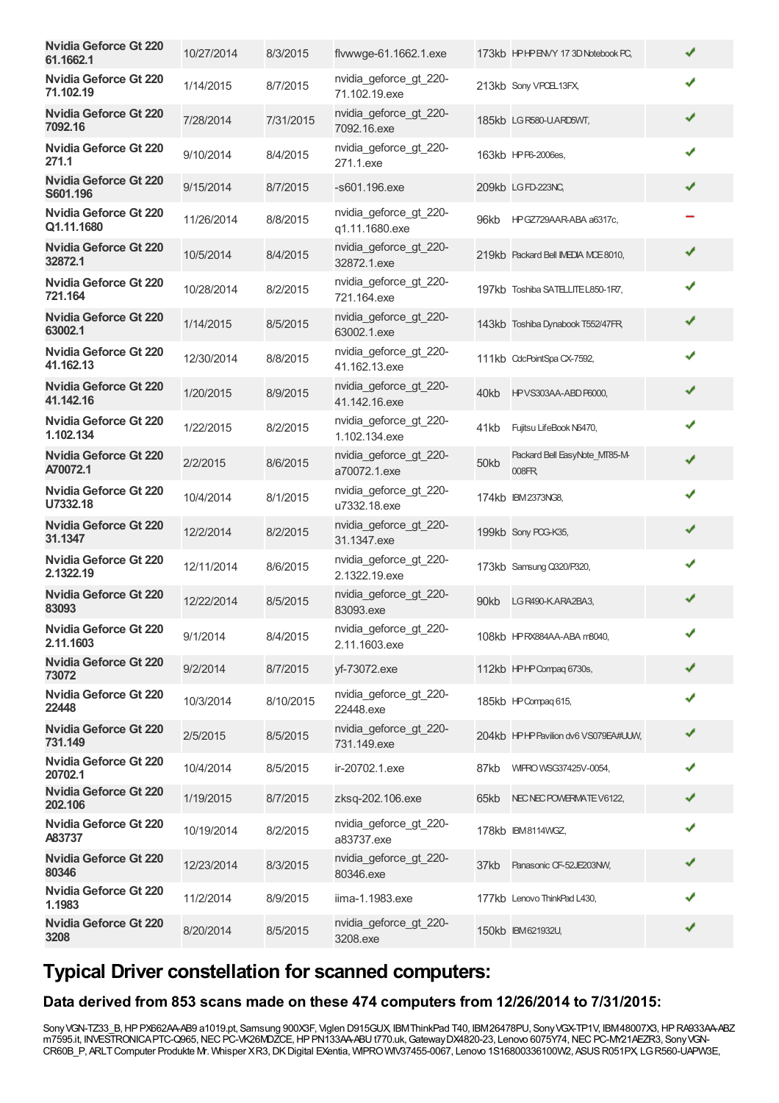| 10/27/2014 | 8/3/2015  | flywwge-61.1662.1.exe                    |      |                                         | ✔                                                                                                                                                                                                                                                                                                                                                                                                                                                                                                                                                                                                                                                                                                             |  |
|------------|-----------|------------------------------------------|------|-----------------------------------------|---------------------------------------------------------------------------------------------------------------------------------------------------------------------------------------------------------------------------------------------------------------------------------------------------------------------------------------------------------------------------------------------------------------------------------------------------------------------------------------------------------------------------------------------------------------------------------------------------------------------------------------------------------------------------------------------------------------|--|
| 1/14/2015  | 8/7/2015  | nvidia geforce gt 220-<br>71.102.19.exe  |      |                                         | ✔                                                                                                                                                                                                                                                                                                                                                                                                                                                                                                                                                                                                                                                                                                             |  |
| 7/28/2014  | 7/31/2015 | nvidia_geforce_gt_220-<br>7092.16.exe    |      |                                         | ✔                                                                                                                                                                                                                                                                                                                                                                                                                                                                                                                                                                                                                                                                                                             |  |
| 9/10/2014  | 8/4/2015  | nvidia_geforce_gt_220-<br>271.1.exe      |      |                                         | ✔                                                                                                                                                                                                                                                                                                                                                                                                                                                                                                                                                                                                                                                                                                             |  |
| 9/15/2014  | 8/7/2015  | -s601.196.exe                            |      |                                         | ✔                                                                                                                                                                                                                                                                                                                                                                                                                                                                                                                                                                                                                                                                                                             |  |
| 11/26/2014 | 8/8/2015  | nvidia_geforce_gt_220-<br>q1.11.1680.exe | 96kb |                                         |                                                                                                                                                                                                                                                                                                                                                                                                                                                                                                                                                                                                                                                                                                               |  |
| 10/5/2014  | 8/4/2015  | nvidia_geforce_gt_220-<br>32872.1.exe    |      |                                         | ✔                                                                                                                                                                                                                                                                                                                                                                                                                                                                                                                                                                                                                                                                                                             |  |
| 10/28/2014 | 8/2/2015  | nvidia_geforce_gt_220-<br>721.164.exe    |      |                                         | ✔                                                                                                                                                                                                                                                                                                                                                                                                                                                                                                                                                                                                                                                                                                             |  |
| 1/14/2015  | 8/5/2015  | nvidia_geforce_gt_220-<br>63002.1.exe    |      |                                         | ✔                                                                                                                                                                                                                                                                                                                                                                                                                                                                                                                                                                                                                                                                                                             |  |
| 12/30/2014 | 8/8/2015  | nvidia_geforce_gt_220-<br>41.162.13.exe  |      |                                         | ✔                                                                                                                                                                                                                                                                                                                                                                                                                                                                                                                                                                                                                                                                                                             |  |
| 1/20/2015  | 8/9/2015  | nvidia geforce gt 220-<br>41.142.16.exe  | 40kb |                                         | ✔                                                                                                                                                                                                                                                                                                                                                                                                                                                                                                                                                                                                                                                                                                             |  |
| 1/22/2015  | 8/2/2015  | nvidia_geforce_gt_220-<br>1.102.134.exe  | 41kb | Fujitsu LifeBook N6470,                 | ✔                                                                                                                                                                                                                                                                                                                                                                                                                                                                                                                                                                                                                                                                                                             |  |
| 2/2/2015   | 8/6/2015  | nvidia_geforce_gt_220-<br>a70072.1.exe   | 50kb | Packard Bell EasyNote_MT85-M-<br>008FR, |                                                                                                                                                                                                                                                                                                                                                                                                                                                                                                                                                                                                                                                                                                               |  |
| 10/4/2014  | 8/1/2015  | nvidia_geforce_gt_220-<br>u7332.18.exe   |      |                                         | ✔                                                                                                                                                                                                                                                                                                                                                                                                                                                                                                                                                                                                                                                                                                             |  |
| 12/2/2014  | 8/2/2015  | nvidia_geforce_gt_220-<br>31.1347.exe    |      |                                         | ✔                                                                                                                                                                                                                                                                                                                                                                                                                                                                                                                                                                                                                                                                                                             |  |
| 12/11/2014 | 8/6/2015  | nvidia_geforce_gt_220-<br>2.1322.19.exe  |      |                                         | ✔                                                                                                                                                                                                                                                                                                                                                                                                                                                                                                                                                                                                                                                                                                             |  |
| 12/22/2014 | 8/5/2015  | nvidia geforce gt 220-<br>83093.exe      | 90kb |                                         | ✔                                                                                                                                                                                                                                                                                                                                                                                                                                                                                                                                                                                                                                                                                                             |  |
| 9/1/2014   | 8/4/2015  | nvidia_geforce_gt_220-<br>2.11.1603.exe  |      |                                         | $\checkmark$                                                                                                                                                                                                                                                                                                                                                                                                                                                                                                                                                                                                                                                                                                  |  |
| 9/2/2014   | 8/7/2015  | yf-73072.exe                             |      |                                         | ✔                                                                                                                                                                                                                                                                                                                                                                                                                                                                                                                                                                                                                                                                                                             |  |
| 10/3/2014  | 8/10/2015 | nvidia_geforce_gt_220-<br>22448.exe      |      |                                         | ✔                                                                                                                                                                                                                                                                                                                                                                                                                                                                                                                                                                                                                                                                                                             |  |
| 2/5/2015   | 8/5/2015  | nvidia geforce gt 220-<br>731.149.exe    |      |                                         | ✔                                                                                                                                                                                                                                                                                                                                                                                                                                                                                                                                                                                                                                                                                                             |  |
| 10/4/2014  | 8/5/2015  | ir-20702.1.exe                           | 87kb |                                         | ✔                                                                                                                                                                                                                                                                                                                                                                                                                                                                                                                                                                                                                                                                                                             |  |
| 1/19/2015  | 8/7/2015  | zksq-202.106.exe                         | 65kb |                                         | ✔                                                                                                                                                                                                                                                                                                                                                                                                                                                                                                                                                                                                                                                                                                             |  |
| 10/19/2014 | 8/2/2015  | nvidia_geforce_gt_220-<br>a83737.exe     |      |                                         | ✔                                                                                                                                                                                                                                                                                                                                                                                                                                                                                                                                                                                                                                                                                                             |  |
| 12/23/2014 | 8/3/2015  | nvidia_geforce_gt_220-<br>80346.exe      | 37kb |                                         | ✔                                                                                                                                                                                                                                                                                                                                                                                                                                                                                                                                                                                                                                                                                                             |  |
| 11/2/2014  | 8/9/2015  | iima-1.1983.exe                          |      |                                         | ✔                                                                                                                                                                                                                                                                                                                                                                                                                                                                                                                                                                                                                                                                                                             |  |
| 8/20/2014  | 8/5/2015  | nvidia_geforce_gt_220-<br>3208.exe       |      |                                         | ✔                                                                                                                                                                                                                                                                                                                                                                                                                                                                                                                                                                                                                                                                                                             |  |
|            |           |                                          |      |                                         | 173kb HPHPENVY 173D Notebook PC,<br>213kb Sony VPCEL13FX,<br>185kb LG R580-U.ARD5WT,<br>163kb HPP6-2006es,<br>209kb LGFD-223NC,<br>HPGZ729AAR-ABA a6317c,<br>219kb Packard Bell IMEDIA MCE8010,<br>197kb Toshiba SATELITE L850-1R7,<br>143kb Toshiba Dynabook T552/47FR,<br>111kb CdcPointSpa CX-7592,<br>HPVS303AA-ABD P6000,<br>174kb IBM2373NG8,<br>199kb Sony POG-K35,<br>173kb Samsung Q320/P320,<br>LG R490-KARA2BA3,<br>108kb HPRX884AA-ABA m8040,<br>112kb HPHPCompag 6730s,<br>185kb HP Compag 615,<br>204kb HPHP Pavilion dv6 VS079EA#UUW,<br>WIPRO WSG37425V-0054,<br>NEC NEC POWERWATE V6122,<br>178kb IBM8114WGZ,<br>Panasonic CF-52JE203NW,<br>177kb Lenovo ThinkPad L430,<br>150kb IBM621932U, |  |

# **Typical Driver constellation for scanned computers:**

#### **Data derived from 853 scans made on these 474 computers from 12/26/2014 to 7/31/2015:**

SonyVGN-TZ33\_B,HPPX662AA-AB9 a1019.pt, Samsung 900X3F, Viglen D915GUX, IBMThinkPad T40, IBM26478PU, SonyVGX-TP1V, IBM48007X3,HPRA933AA-ABZ m7595.it, INVESTRONICAPTC-Q965, NEC PC-VK26MDZCE, HP PN133AA-ABU t770.uk, Gateway DX4820-23, Lenovo 6075Y74, NEC PC-MY21AEZR3, Sony VGN-CR60B\_P, ARLTComputer Produkte Mr. Whisper XR3,DKDigital EXentia, WIPROWIV37455-0067, Lenovo 1S16800336100W2, ASUSR051PX, LGR560-UAPW3E,